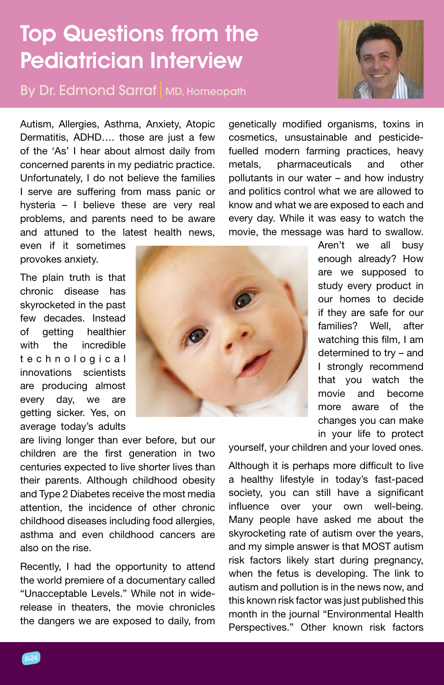## Top Questions from the Pediatrician Interview

By Dr. Edmond Sarraf MD, Homeopath



Autism, Allergies, Asthma, Anxiety, Atopic Dermatitis, ADHD…. those are just a few of the 'As' I hear about almost daily from concerned parents in my pediatric practice. Unfortunately, I do not believe the families I serve are suffering from mass panic or hysteria – I believe these are very real problems, and parents need to be aware and attuned to the latest health news, genetically modified organisms, toxins in cosmetics, unsustainable and pesticidefuelled modern farming practices, heavy metals, pharmaceuticals and other pollutants in our water – and how industry and politics control what we are allowed to know and what we are exposed to each and every day. While it was easy to watch the movie, the message was hard to swallow.

even if it sometimes provokes anxiety.

The plain truth is that chronic disease has skyrocketed in the past few decades. Instead of getting healthier with the incredible t e c h n o l o g i c a l innovations scientists are producing almost every day, we are getting sicker. Yes, on average today's adults



Aren't we all busy enough already? How are we supposed to study every product in our homes to decide if they are safe for our families? Well, after watching this film, I am determined to try – and I strongly recommend that you watch the movie and become more aware of the changes you can make in your life to protect

are living longer than ever before, but our children are the first generation in two centuries expected to live shorter lives than their parents. Although childhood obesity and Type 2 Diabetes receive the most media attention, the incidence of other chronic childhood diseases including food allergies, asthma and even childhood cancers are also on the rise.

Recently, I had the opportunity to attend the world premiere of a documentary called "Unacceptable Levels." While not in widerelease in theaters, the movie chronicles the dangers we are exposed to daily, from yourself, your children and your loved ones.

Although it is perhaps more difficult to live a healthy lifestyle in today's fast-paced society, you can still have a significant influence over your own well-being. Many people have asked me about the skyrocketing rate of autism over the years, and my simple answer is that MOST autism risk factors likely start during pregnancy, when the fetus is developing. The link to autism and pollution is in the news now, and this known risk factor was just published this month in the journal "Environmental Health Perspectives." Other known risk factors